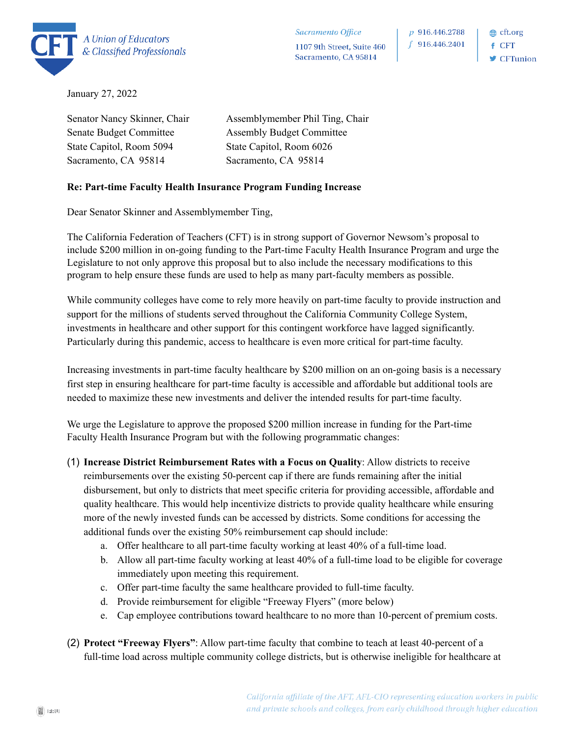

**≞** cft.org  $f$  CFT  $\blacktriangleright$  CFTunion

January 27, 2022

Senator Nancy Skinner, Chair Senate Budget Committee State Capitol, Room 5094 Sacramento, CA 95814

Assemblymember Phil Ting, Chair Assembly Budget Committee State Capitol, Room 6026 Sacramento, CA 95814

## **Re: Part-time Faculty Health Insurance Program Funding Increase**

Dear Senator Skinner and Assemblymember Ting,

The California Federation of Teachers (CFT) is in strong support of Governor Newsom's proposal to include \$200 million in on-going funding to the Part-time Faculty Health Insurance Program and urge the Legislature to not only approve this proposal but to also include the necessary modifications to this program to help ensure these funds are used to help as many part-faculty members as possible.

While community colleges have come to rely more heavily on part-time faculty to provide instruction and support for the millions of students served throughout the California Community College System, investments in healthcare and other support for this contingent workforce have lagged significantly. Particularly during this pandemic, access to healthcare is even more critical for part-time faculty.

Increasing investments in part-time faculty healthcare by \$200 million on an on-going basis is a necessary first step in ensuring healthcare for part-time faculty is accessible and affordable but additional tools are needed to maximize these new investments and deliver the intended results for part-time faculty.

We urge the Legislature to approve the proposed \$200 million increase in funding for the Part-time Faculty Health Insurance Program but with the following programmatic changes:

- (1) **Increase District Reimbursement Rates with a Focus on Quality**: Allow districts to receive reimbursements over the existing 50-percent cap if there are funds remaining after the initial disbursement, but only to districts that meet specific criteria for providing accessible, affordable and quality healthcare. This would help incentivize districts to provide quality healthcare while ensuring more of the newly invested funds can be accessed by districts. Some conditions for accessing the additional funds over the existing 50% reimbursement cap should include:
	- a. Offer healthcare to all part-time faculty working at least 40% of a full-time load.
	- b. Allow all part-time faculty working at least 40% of a full-time load to be eligible for coverage immediately upon meeting this requirement.
	- c. Offer part-time faculty the same healthcare provided to full-time faculty.
	- d. Provide reimbursement for eligible "Freeway Flyers" (more below)
	- e. Cap employee contributions toward healthcare to no more than 10-percent of premium costs.
- (2) **Protect "Freeway Flyers"**: Allow part-time faculty that combine to teach at least 40-percent of a full-time load across multiple community college districts, but is otherwise ineligible for healthcare at